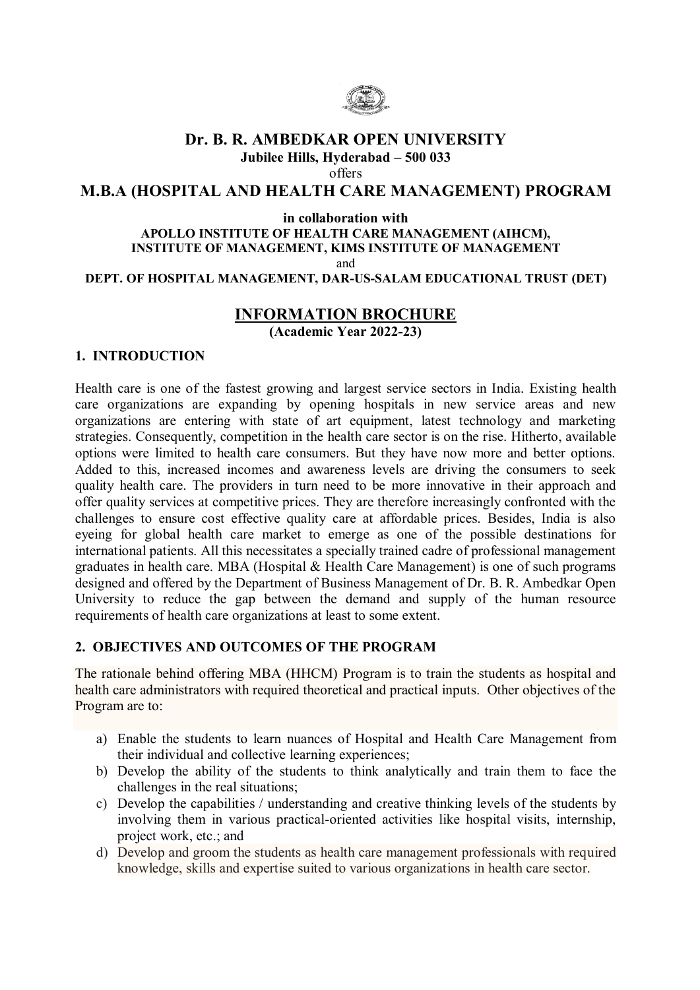

## **Dr. B. R. AMBEDKAR OPEN UNIVERSITY Jubilee Hills, Hyderabad – 500 033**

offers

# **M.B.A (HOSPITAL AND HEALTH CARE MANAGEMENT) PROGRAM**

#### **in collaboration with**

#### **APOLLO INSTITUTE OF HEALTH CARE MANAGEMENT (AIHCM), INSTITUTE OF MANAGEMENT, KIMS INSTITUTE OF MANAGEMENT** and

**DEPT. OF HOSPITAL MANAGEMENT, DAR-US-SALAM EDUCATIONAL TRUST (DET)**

# **INFORMATION BROCHURE**

 **(Academic Year 2022-23)**

#### **1. INTRODUCTION**

Health care is one of the fastest growing and largest service sectors in India. Existing health care organizations are expanding by opening hospitals in new service areas and new organizations are entering with state of art equipment, latest technology and marketing strategies. Consequently, competition in the health care sector is on the rise. Hitherto, available options were limited to health care consumers. But they have now more and better options. Added to this, increased incomes and awareness levels are driving the consumers to seek quality health care. The providers in turn need to be more innovative in their approach and offer quality services at competitive prices. They are therefore increasingly confronted with the challenges to ensure cost effective quality care at affordable prices. Besides, India is also eyeing for global health care market to emerge as one of the possible destinations for international patients. All this necessitates a specially trained cadre of professional management graduates in health care. MBA (Hospital & Health Care Management) is one of such programs designed and offered by the Department of Business Management of Dr. B. R. Ambedkar Open University to reduce the gap between the demand and supply of the human resource requirements of health care organizations at least to some extent.

#### **2. OBJECTIVES AND OUTCOMES OF THE PROGRAM**

The rationale behind offering MBA (HHCM) Program is to train the students as hospital and health care administrators with required theoretical and practical inputs. Other objectives of the Program are to:

- a) Enable the students to learn nuances of Hospital and Health Care Management from their individual and collective learning experiences;
- b) Develop the ability of the students to think analytically and train them to face the challenges in the real situations;
- c) Develop the capabilities / understanding and creative thinking levels of the students by involving them in various practical-oriented activities like hospital visits, internship, project work, etc.; and
- d) Develop and groom the students as health care management professionals with required knowledge, skills and expertise suited to various organizations in health care sector.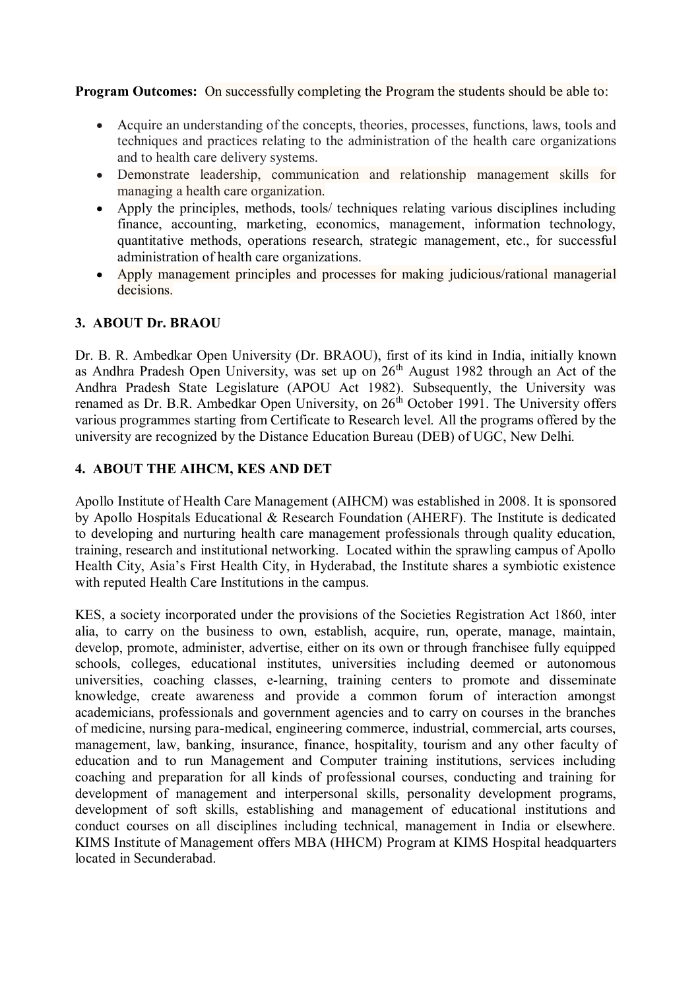**Program Outcomes:** On successfully completing the Program the students should be able to:

- Acquire an understanding of the concepts, theories, processes, functions, laws, tools and  $\bullet$ techniques and practices relating to the administration of the health care organizations and to health care delivery systems.
- Demonstrate leadership, communication and relationship management skills for managing a health care organization.
- Apply the principles, methods, tools/ techniques relating various disciplines including  $\bullet$ finance, accounting, marketing, economics, management, information technology, quantitative methods, operations research, strategic management, etc., for successful administration of health care organizations.
- Apply management principles and processes for making judicious/rational managerial decisions.

#### **3. ABOUT Dr. BRAOU**

Dr. B. R. Ambedkar Open University (Dr. BRAOU), first of its kind in India, initially known as Andhra Pradesh Open University, was set up on  $26<sup>th</sup>$  August 1982 through an Act of the Andhra Pradesh State Legislature (APOU Act 1982). Subsequently, the University was renamed as Dr. B.R. Ambedkar Open University, on  $26<sup>th</sup>$  October 1991. The University offers various programmes starting from Certificate to Research level. All the programs offered by the university are recognized by the Distance Education Bureau (DEB) of UGC, New Delhi.

#### **4. ABOUT THE AIHCM, KES AND DET**

Apollo Institute of Health Care Management (AIHCM) was established in 2008. It is sponsored by Apollo Hospitals Educational & Research Foundation (AHERF). The Institute is dedicated to developing and nurturing health care management professionals through quality education, training, research and institutional networking. Located within the sprawling campus of Apollo Health City, Asia's First Health City, in Hyderabad, the Institute shares a symbiotic existence with reputed Health Care Institutions in the campus.

KES, a society incorporated under the provisions of the Societies Registration Act 1860, inter alia, to carry on the business to own, establish, acquire, run, operate, manage, maintain, develop, promote, administer, advertise, either on its own or through franchisee fully equipped schools, colleges, educational institutes, universities including deemed or autonomous universities, coaching classes, e-learning, training centers to promote and disseminate knowledge, create awareness and provide a common forum of interaction amongst academicians, professionals and government agencies and to carry on courses in the branches of medicine, nursing para-medical, engineering commerce, industrial, commercial, arts courses, management, law, banking, insurance, finance, hospitality, tourism and any other faculty of education and to run Management and Computer training institutions, services including coaching and preparation for all kinds of professional courses, conducting and training for development of management and interpersonal skills, personality development programs, development of soft skills, establishing and management of educational institutions and conduct courses on all disciplines including technical, management in India or elsewhere. KIMS Institute of Management offers MBA (HHCM) Program at KIMS Hospital headquarters located in Secunderabad.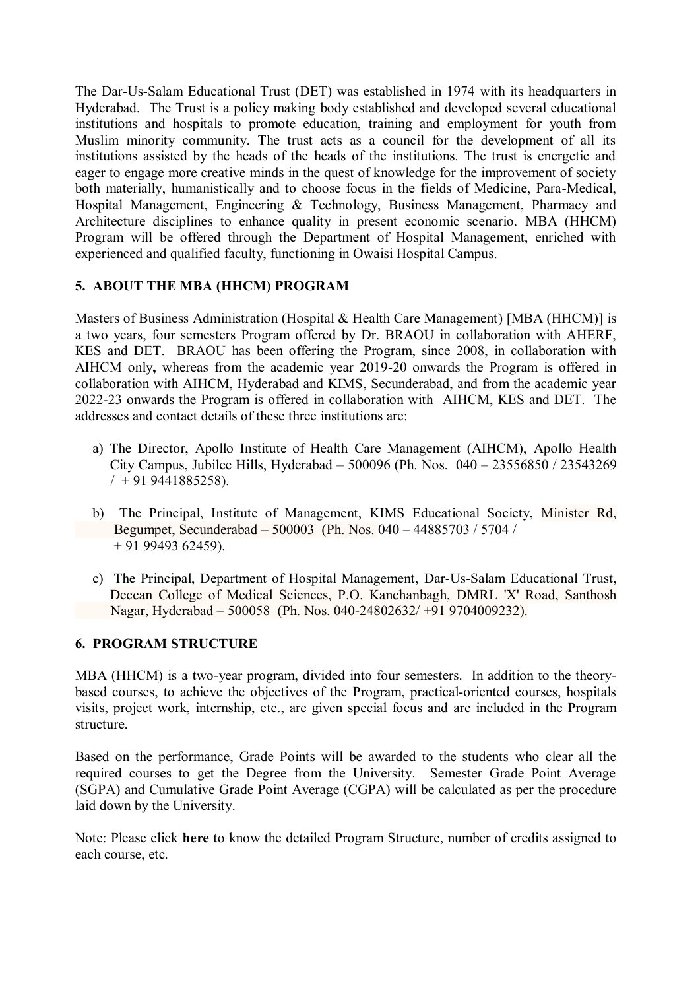The Dar-Us-Salam Educational Trust (DET) was established in 1974 with its headquarters in Hyderabad. The Trust is a policy making body established and developed several educational institutions and hospitals to promote education, training and employment for youth from Muslim minority community. The trust acts as a council for the development of all its institutions assisted by the heads of the heads of the institutions. The trust is energetic and eager to engage more creative minds in the quest of knowledge for the improvement of society both materially, humanistically and to choose focus in the fields of Medicine, Para-Medical, Hospital Management, Engineering & Technology, Business Management, Pharmacy and Architecture disciplines to enhance quality in present economic scenario. MBA (HHCM) Program will be offered through the Department of Hospital Management, enriched with experienced and qualified faculty, functioning in Owaisi Hospital Campus.

# **5. ABOUT THE MBA (HHCM) PROGRAM**

Masters of Business Administration (Hospital & Health Care Management) [MBA (HHCM)] is a two years, four semesters Program offered by Dr. BRAOU in collaboration with AHERF, KES and DET. BRAOU has been offering the Program, since 2008, in collaboration with AIHCM only**,** whereas from the academic year 2019-20 onwards the Program is offered in collaboration with AIHCM, Hyderabad and KIMS, Secunderabad, and from the academic year 2022-23 onwards the Program is offered in collaboration with AIHCM, KES and DET. The addresses and contact details of these three institutions are:

- a) The Director, Apollo Institute of Health Care Management (AIHCM), Apollo Health City Campus, Jubilee Hills, Hyderabad – 500096 (Ph. Nos. 040 – 23556850 / 23543269  $/ + 919441885258$ ).
- b) The Principal, Institute of Management, KIMS Educational Society, Minister Rd, Begumpet, Secunderabad – 500003 (Ph. Nos. 040 – 44885703 / 5704 / + 91 99493 62459).
- c) The Principal, Department of Hospital Management, Dar-Us-Salam Educational Trust, Deccan College of Medical Sciences, P.O. Kanchanbagh, DMRL 'X' Road, Santhosh Nagar, Hyderabad – 500058 (Ph. Nos. 040-24802632/ +91 9704009232).

## **6. PROGRAM STRUCTURE**

MBA (HHCM) is a two-year program, divided into four semesters. In addition to the theorybased courses, to achieve the objectives of the Program, practical-oriented courses, hospitals visits, project work, internship, etc., are given special focus and are included in the Program structure.

Based on the performance, Grade Points will be awarded to the students who clear all the required courses to get the Degree from the University. Semester Grade Point Average (SGPA) and Cumulative Grade Point Average (CGPA) will be calculated as per the procedure laid down by the University.

Note: Please click **here** to know the detailed Program Structure, number of credits assigned to each course, etc.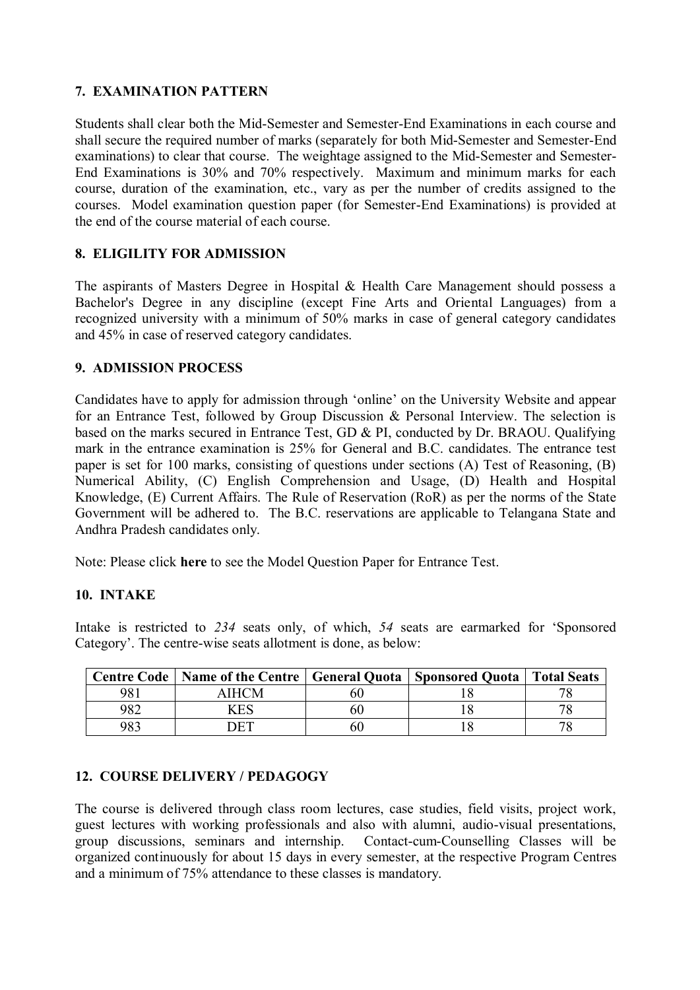### **7. EXAMINATION PATTERN**

Students shall clear both the Mid-Semester and Semester-End Examinations in each course and shall secure the required number of marks (separately for both Mid-Semester and Semester-End examinations) to clear that course. The weightage assigned to the Mid-Semester and Semester-End Examinations is 30% and 70% respectively. Maximum and minimum marks for each course, duration of the examination, etc., vary as per the number of credits assigned to the courses. Model examination question paper (for Semester-End Examinations) is provided at the end of the course material of each course.

## **8. ELIGILITY FOR ADMISSION**

The aspirants of Masters Degree in Hospital & Health Care Management should possess a Bachelor's Degree in any discipline (except Fine Arts and Oriental Languages) from a recognized university with a minimum of 50% marks in case of general category candidates and 45% in case of reserved category candidates.

#### **9. ADMISSION PROCESS**

Candidates have to apply for admission through 'online' on the University Website and appear for an Entrance Test, followed by Group Discussion & Personal Interview. The selection is based on the marks secured in Entrance Test, GD & PI, conducted by Dr. BRAOU. Qualifying mark in the entrance examination is 25% for General and B.C. candidates. The entrance test paper is set for 100 marks, consisting of questions under sections (A) Test of Reasoning, (B) Numerical Ability, (C) English Comprehension and Usage, (D) Health and Hospital Knowledge, (E) Current Affairs. The Rule of Reservation (RoR) as per the norms of the State Government will be adhered to. The B.C. reservations are applicable to Telangana State and Andhra Pradesh candidates only.

Note: Please click **here** to see the Model Question Paper for Entrance Test.

#### **10. INTAKE**

Intake is restricted to *234* seats only, of which, *54* seats are earmarked for 'Sponsored Category'. The centre-wise seats allotment is done, as below:

|     | Centre Code   Name of the Centre   General Quota   Sponsored Quota   Total Seats |  |  |
|-----|----------------------------------------------------------------------------------|--|--|
| 981 | AIHCM                                                                            |  |  |
| 982 | .<br>CES                                                                         |  |  |
| 983 |                                                                                  |  |  |

## **12. COURSE DELIVERY / PEDAGOGY**

The course is delivered through class room lectures, case studies, field visits, project work, guest lectures with working professionals and also with alumni, audio-visual presentations, group discussions, seminars and internship. Contact-cum-Counselling Classes will be organized continuously for about 15 days in every semester, at the respective Program Centres and a minimum of 75% attendance to these classes is mandatory.